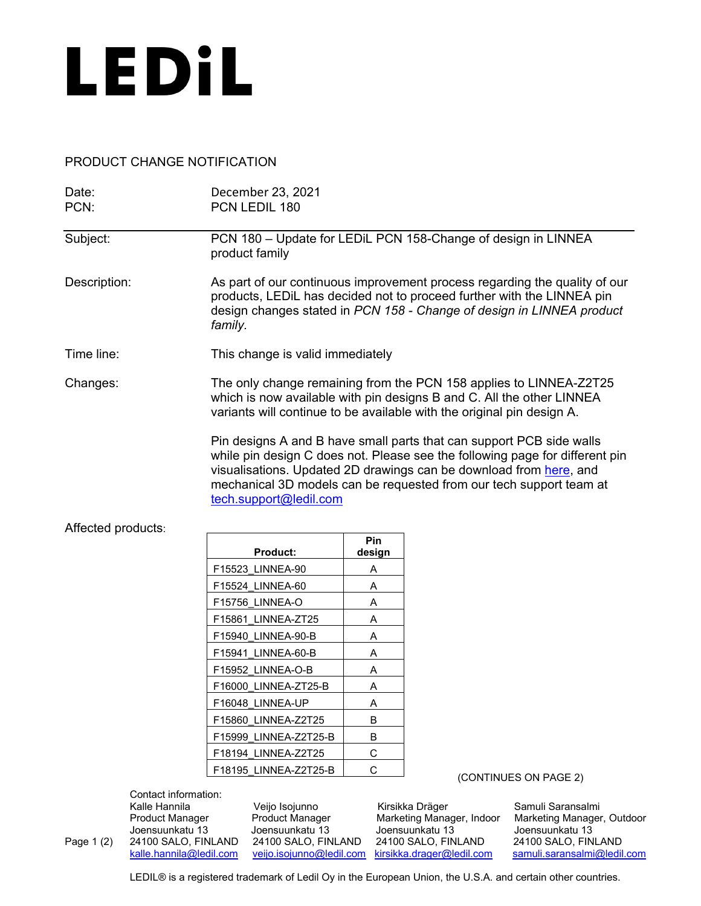

## PRODUCT CHANGE NOTIFICATION

| Date:<br>PCN:      | December 23, 2021<br>PCN LEDIL 180                                                                                                                                                                                                                                                                                          |
|--------------------|-----------------------------------------------------------------------------------------------------------------------------------------------------------------------------------------------------------------------------------------------------------------------------------------------------------------------------|
| Subject:           | PCN 180 - Update for LEDIL PCN 158-Change of design in LINNEA<br>product family                                                                                                                                                                                                                                             |
| Description:       | As part of our continuous improvement process regarding the quality of our<br>products, LEDiL has decided not to proceed further with the LINNEA pin<br>design changes stated in PCN 158 - Change of design in LINNEA product<br>family.                                                                                    |
| Time line:         | This change is valid immediately                                                                                                                                                                                                                                                                                            |
| Changes:           | The only change remaining from the PCN 158 applies to LINNEA-Z2T25<br>which is now available with pin designs B and C. All the other LINNEA<br>variants will continue to be available with the original pin design A.                                                                                                       |
|                    | Pin designs A and B have small parts that can support PCB side walls<br>while pin design C does not. Please see the following page for different pin<br>visualisations. Updated 2D drawings can be download from here, and<br>mechanical 3D models can be requested from our tech support team at<br>tech.support@ledil.com |
| Affected products: |                                                                                                                                                                                                                                                                                                                             |

| <b>Product:</b>       | Pin<br>design |
|-----------------------|---------------|
| F15523 LINNEA-90      | А             |
| F15524 LINNEA-60      | A             |
| F15756 LINNEA-O       | А             |
| F15861 LINNEA-ZT25    | A             |
| F15940 LINNEA-90-B    | А             |
| F15941 LINNEA-60-B    | А             |
| F15952 LINNEA-O-B     | A             |
| F16000 LINNEA-ZT25-B  | A             |
| F16048 LINNEA-UP      | A             |
| F15860 LINNEA-Z2T25   | в             |
| F15999 LINNEA-Z2T25-B | в             |
| F18194 LINNEA-Z2T25   | С             |
| F18195 LINNEA-Z2T25-B | C.            |

Contact information:

Kalle Hannila Veijo Isojunno Kirsikka Dräger Samuli Saransalmi

Joensuunkatu 13 Joensuunkatu 13 Joensuunkatu 13 Joensuunkatu 13 Page 1 (2) 24100 SALO, FINLAND 24100 SALO, FINLAND 24100 SALO, FINLAND <br>
<u>kalle, hannila@ledil.com</u> yeijo.isojunno@ledil.com kirsikka.drager@ledil.com

Marketing Manager, Outdoor [samuli.saransalmi@ledil.com](mailto:samuli.saransalmi@ledil.com)

(CONTINUES ON PAGE 2)

LEDIL<sup>®</sup> is a registered trademark of Ledil Oy in the European Union, the U.S.A. and certain other countries.